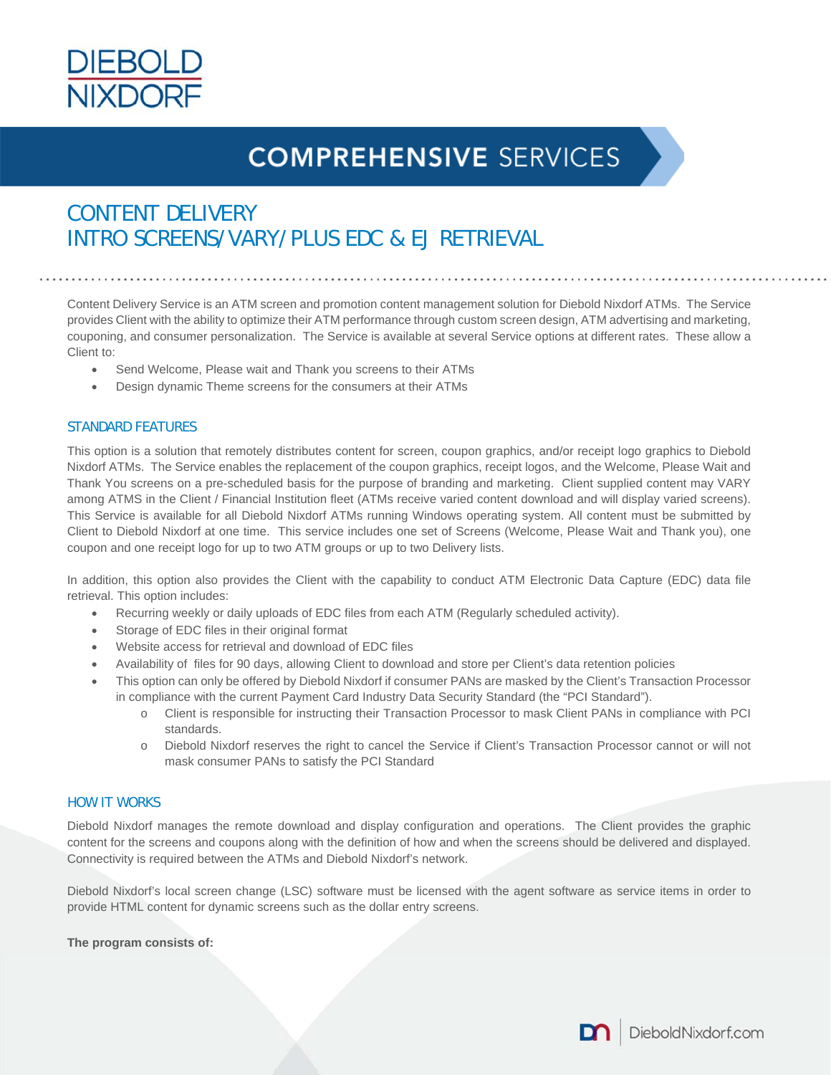

# **COMPREHENSIVE SERVICES**

## CONTENT DELIVERY INTRO SCREENS/VARY/PLUS EDC & EJ RETRIEVAL

Content Delivery Service is an ATM screen and promotion content management solution for Diebold Nixdorf ATMs. The Service provides Client with the ability to optimize their ATM performance through custom screen design, ATM advertising and marketing, couponing, and consumer personalization. The Service is available at several Service options at different rates. These allow a Client to:

- Send Welcome, Please wait and Thank you screens to their ATMs
- Design dynamic Theme screens for the consumers at their ATMs

#### STANDARD FEATURES

This option is a solution that remotely distributes content for screen, coupon graphics, and/or receipt logo graphics to Diebold Nixdorf ATMs. The Service enables the replacement of the coupon graphics, receipt logos, and the Welcome, Please Wait and Thank You screens on a pre-scheduled basis for the purpose of branding and marketing. Client supplied content may VARY among ATMS in the Client / Financial Institution fleet (ATMs receive varied content download and will display varied screens). This Service is available for all Diebold Nixdorf ATMs running Windows operating system. All content must be submitted by Client to Diebold Nixdorf at one time. This service includes one set of Screens (Welcome, Please Wait and Thank you), one coupon and one receipt logo for up to two ATM groups or up to two Delivery lists.

In addition, this option also provides the Client with the capability to conduct ATM Electronic Data Capture (EDC) data file retrieval. This option includes:

- Recurring weekly or daily uploads of EDC files from each ATM (Regularly scheduled activity).
- Storage of EDC files in their original format
- Website access for retrieval and download of EDC files
- Availability of files for 90 days, allowing Client to download and store per Client's data retention policies
- This option can only be offered by Diebold Nixdorf if consumer PANs are masked by the Client's Transaction Processor in compliance with the current Payment Card Industry Data Security Standard (the "PCI Standard").
	- o Client is responsible for instructing their Transaction Processor to mask Client PANs in compliance with PCI standards.
	- o Diebold Nixdorf reserves the right to cancel the Service if Client's Transaction Processor cannot or will not mask consumer PANs to satisfy the PCI Standard

#### HOW IT WORKS

Diebold Nixdorf manages the remote download and display configuration and operations. The Client provides the graphic content for the screens and coupons along with the definition of how and when the screens should be delivered and displayed. Connectivity is required between the ATMs and Diebold Nixdorf's network.

Diebold Nixdorf's local screen change (LSC) software must be licensed with the agent software as service items in order to provide HTML content for dynamic screens such as the dollar entry screens.

**The program consists of:** 

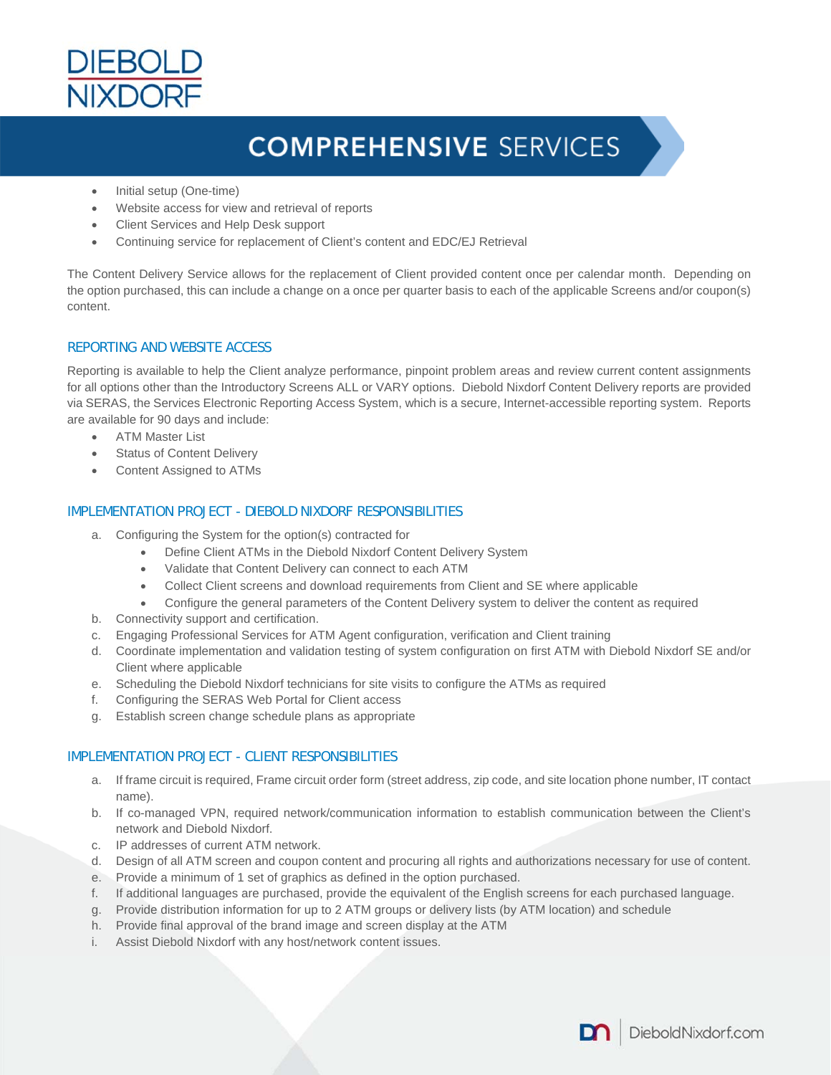

# **COMPREHENSIVE SERVICES**

- Initial setup (One-time)
- Website access for view and retrieval of reports
- Client Services and Help Desk support
- Continuing service for replacement of Client's content and EDC/EJ Retrieval

The Content Delivery Service allows for the replacement of Client provided content once per calendar month. Depending on the option purchased, this can include a change on a once per quarter basis to each of the applicable Screens and/or coupon(s) content.

### REPORTING AND WEBSITE ACCESS

Reporting is available to help the Client analyze performance, pinpoint problem areas and review current content assignments for all options other than the Introductory Screens ALL or VARY options. Diebold Nixdorf Content Delivery reports are provided via SERAS, the Services Electronic Reporting Access System, which is a secure, Internet-accessible reporting system. Reports are available for 90 days and include:

- **•** ATM Master List
- Status of Content Delivery
- Content Assigned to ATMs

#### IMPLEMENTATION PROJECT - DIEBOLD NIXDORF RESPONSIBILITIES

- a. Configuring the System for the option(s) contracted for
	- Define Client ATMs in the Diebold Nixdorf Content Delivery System
		- Validate that Content Delivery can connect to each ATM
		- Collect Client screens and download requirements from Client and SE where applicable
	- Configure the general parameters of the Content Delivery system to deliver the content as required
- b. Connectivity support and certification.
- c. Engaging Professional Services for ATM Agent configuration, verification and Client training
- d. Coordinate implementation and validation testing of system configuration on first ATM with Diebold Nixdorf SE and/or Client where applicable
- e. Scheduling the Diebold Nixdorf technicians for site visits to configure the ATMs as required
- f. Configuring the SERAS Web Portal for Client access
- g. Establish screen change schedule plans as appropriate

### IMPLEMENTATION PROJECT - CLIENT RESPONSIBILITIES

- a. If frame circuit is required, Frame circuit order form (street address, zip code, and site location phone number, IT contact name).
- b. If co-managed VPN, required network/communication information to establish communication between the Client's network and Diebold Nixdorf.
- c. IP addresses of current ATM network.
- d. Design of all ATM screen and coupon content and procuring all rights and authorizations necessary for use of content.
- e. Provide a minimum of 1 set of graphics as defined in the option purchased.
- f. If additional languages are purchased, provide the equivalent of the English screens for each purchased language.
- g. Provide distribution information for up to 2 ATM groups or delivery lists (by ATM location) and schedule
- h. Provide final approval of the brand image and screen display at the ATM
- i. Assist Diebold Nixdorf with any host/network content issues.